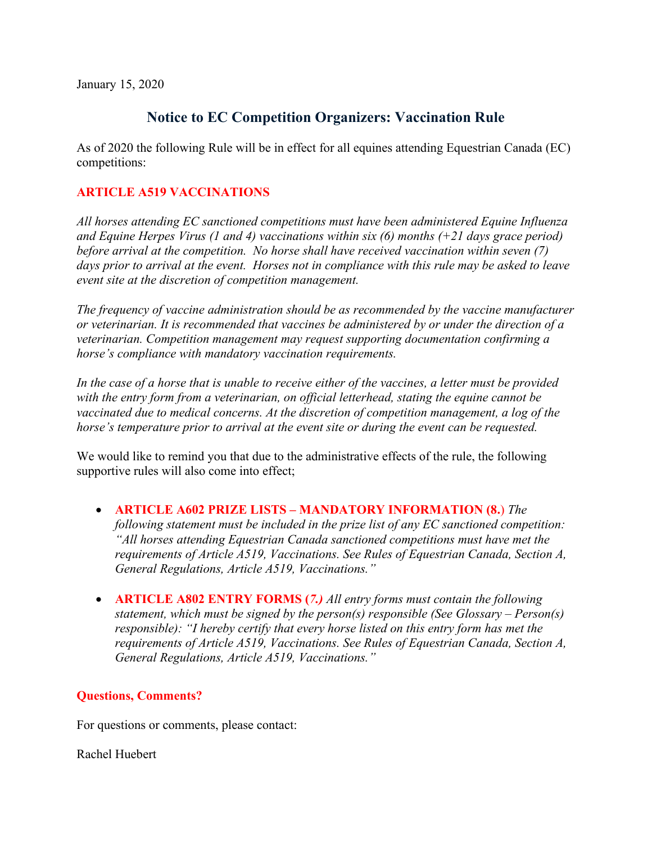January 15, 2020

## **Notice to EC Competition Organizers: Vaccination Rule**

As of 2020 the following Rule will be in effect for all equines attending Equestrian Canada (EC) competitions:

## **ARTICLE A519 VACCINATIONS**

*All horses attending EC sanctioned competitions must have been administered Equine Influenza and Equine Herpes Virus (1 and 4) vaccinations within six (6) months (+21 days grace period) before arrival at the competition. No horse shall have received vaccination within seven (7) days prior to arrival at the event. Horses not in compliance with this rule may be asked to leave event site at the discretion of competition management.* 

*The frequency of vaccine administration should be as recommended by the vaccine manufacturer or veterinarian. It is recommended that vaccines be administered by or under the direction of a veterinarian. Competition management may request supporting documentation confirming a horse's compliance with mandatory vaccination requirements.* 

*In the case of a horse that is unable to receive either of the vaccines, a letter must be provided with the entry form from a veterinarian, on official letterhead, stating the equine cannot be vaccinated due to medical concerns. At the discretion of competition management, a log of the horse's temperature prior to arrival at the event site or during the event can be requested.* 

We would like to remind you that due to the administrative effects of the rule, the following supportive rules will also come into effect;

• **ARTICLE A602 PRIZE LISTS – MANDATORY INFORMATION (8.**) *The* 

*following statement must be included in the prize list of any EC sanctioned competition: "All horses attending Equestrian Canada sanctioned competitions must have met the requirements of Article A519, Vaccinations. See Rules of Equestrian Canada, Section A, General Regulations, Article A519, Vaccinations."*

• **ARTICLE A802 ENTRY FORMS (***7.) All entry forms must contain the following statement, which must be signed by the person(s) responsible (See Glossary – Person(s) responsible): "I hereby certify that every horse listed on this entry form has met the requirements of Article A519, Vaccinations. See Rules of Equestrian Canada, Section A, General Regulations, Article A519, Vaccinations."*

## **Questions, Comments?**

For questions or comments, please contact:

Rachel Huebert